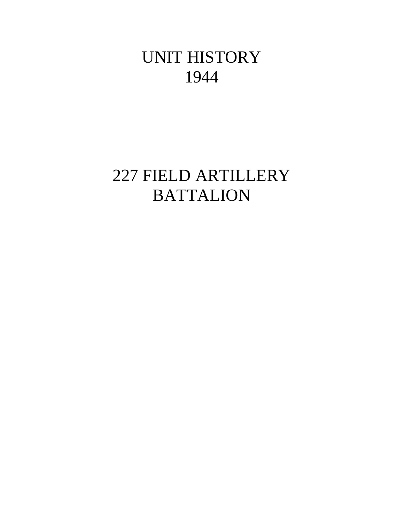# UNIT HISTORY 1944

# 227 FIELD ARTILLERY **BATTALION**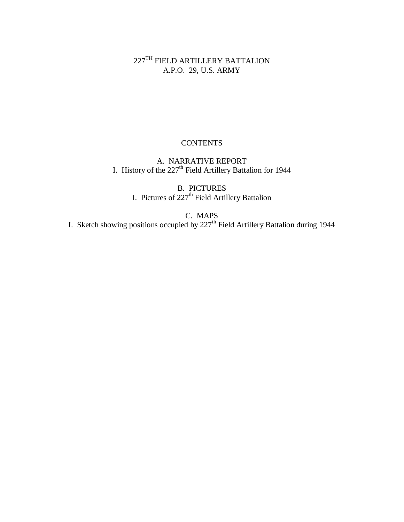$227^{\mathrm{TH}}$  FIELD ARTILLERY BATTALION A.P.O. 29, U.S. ARMY

# **CONTENTS**

A. NARRATIVE REPORT I. History of the  $227<sup>th</sup>$  Field Artillery Battalion for 1944

> B. PICTURES I. Pictures of 227<sup>th</sup> Field Artillery Battalion

C. MAPS I. Sketch showing positions occupied by 227<sup>th</sup> Field Artillery Battalion during 1944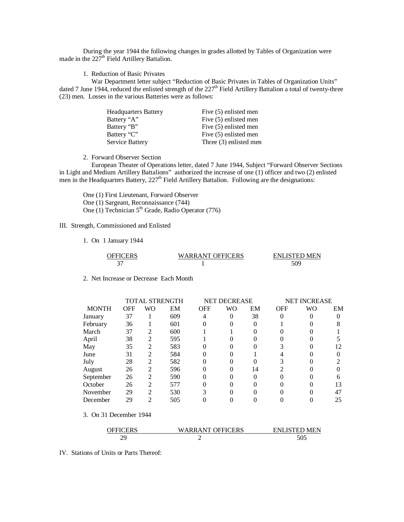During the year 1944 the following changes in grades allotted by Tables of Organization were made in the 227<sup>th</sup> Field Artillery Battalion.

1. Reduction of Basic Privates

 War Department letter subject "Reduction of Basic Privates in Tables of Organization Units" dated 7 June 1944, reduced the enlisted strength of the 227<sup>th</sup> Field Artillery Battalion a total of twenty-three (23) men. Losses in the various Batteries were as follows:

| Five (5) enlisted men  |
|------------------------|
| Five (5) enlisted men  |
| Five (5) enlisted men  |
| Five (5) enlisted men  |
| Three (3) enlisted men |
|                        |

2. Forward Observer Section

 European Theater of Operations letter, dated 7 June 1944, Subject "Forward Observer Sections in Light and Medium Artillery Battalions" authorized the increase of one (1) officer and two (2) enlisted men in the Headquarters Battery, 227<sup>th</sup> Field Artillery Battalion. Following are the designations:

One (1) First Lieutenant, Forward Observer One (1) Sargeant, Reconnaissance (744) One (1) Technician  $5<sup>th</sup>$  Grade, Radio Operator (776)

### III. Strength, Commissioned and Enlisted

1. On 1 January 1944

| <b>OFFICERS</b> | <b>WARRANT OFFICERS</b> | <b>ENLISTED MEN</b> |
|-----------------|-------------------------|---------------------|
|                 |                         | 70٢                 |

2. Net Increase or Decrease Each Month

| TOTAL STRENGTH |                          | <b>NET DECREASE</b> |            |          |    |            |    |                     |
|----------------|--------------------------|---------------------|------------|----------|----|------------|----|---------------------|
| <b>OFF</b>     | WO                       | EM                  | <b>OFF</b> | WO       | EM | <b>OFF</b> | WO | EM                  |
| 37             |                          | 609                 | 4          | $\theta$ | 38 |            |    |                     |
| 36             |                          | 601                 |            |          |    |            |    |                     |
| 37             | 2                        | 600                 |            |          |    |            |    |                     |
| 38             | 2                        | 595                 |            |          |    |            |    |                     |
| 35             | 2                        | 583                 | $\theta$   |          |    |            |    | 12                  |
| 31             | $\mathfrak{D}$           | 584                 |            |          |    |            |    |                     |
| 28             | $\mathfrak{D}$           | 582                 |            |          |    |            |    |                     |
| 26             | $\mathfrak{D}$           | 596                 | $\theta$   |          | 14 |            |    |                     |
| 26             | 2                        | 590                 |            |          |    |            |    |                     |
| 26             | $\overline{\mathcal{L}}$ | 577                 |            |          |    |            |    | 13                  |
| 29             | 2                        | 530                 |            |          |    |            |    | 47                  |
| 29             | າ                        | 505                 |            |          |    |            |    | 25                  |
|                |                          |                     |            |          |    |            |    | <b>NET INCREASE</b> |

3. On 31 December 1944

| OFFICERS | <b>WARRANT OFFICERS</b> | <b>ENLISTED MEN</b> |
|----------|-------------------------|---------------------|
| 70       |                         | JU.                 |

IV. Stations of Units or Parts Thereof: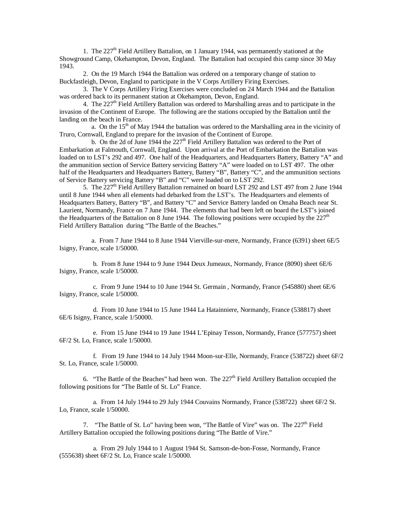1. The 227th Field Artillery Battalion, on 1 January 1944, was permanently stationed at the Showground Camp, Okehampton, Devon, England. The Battalion had occupied this camp since 30 May 1943.

2. On the 19 March 1944 the Battalion was ordered on a temporary change of station to Buckfastleigh, Devon, England to participate in the V Corps Artillery Firing Exercises.

3. The V Corps Artillery Firing Exercises were concluded on 24 March 1944 and the Battalion was ordered back to its permanent station at Okehampton, Devon, England.

4. The 227<sup>th</sup> Field Artillery Battalion was ordered to Marshalling areas and to participate in the invasion of the Continent of Europe. The following are the stations occupied by the Battalion until the landing on the beach in France.

a. On the  $15<sup>th</sup>$  of May 1944 the battalion was ordered to the Marshalling area in the vicinity of Truro, Cornwall, England to prepare for the invasion of the Continent of Europe.

b. On the 2d of June 1944 the  $227<sup>th</sup>$  Field Artillery Battalion was ordered to the Port of Embarkation at Falmouth, Cornwall, England. Upon arrival at the Port of Embarkation the Battalion was loaded on to LST's 292 and 497. One half of the Headquarters, and Headquarters Battery, Battery "A" and the ammunition section of Service Battery servicing Battery "A" were loaded on to LST 497. The other half of the Headquarters and Headquarters Battery, Battery "B", Battery "C", and the ammunition sections of Service Battery servicing Battery "B" and "C" were loaded on to LST 292.

5. The 227<sup>th</sup> Field Artillery Battalion remained on board LST 292 and LST 497 from 2 June 1944 until 8 June 1944 when all elements had debarked from the LST's. The Headquarters and elements of Headquarters Battery, Battery "B", and Battery "C" and Service Battery landed on Omaha Beach near St. Laurient, Normandy, France on 7 June 1944. The elements that had been left on board the LST's joined the Headquarters of the Battalion on 8 June 1944. The following positions were occupied by the  $227<sup>th</sup>$ Field Artillery Battalion during "The Battle of the Beaches."

 a. From 7 June 1944 to 8 June 1944 Vierville-sur-mere, Normandy, France (6391) sheet 6E/5 Isigny, France, scale 1/50000.

 b. From 8 June 1944 to 9 June 1944 Deux Jumeaux, Normandy, France (8090) sheet 6E/6 Isigny, France, scale 1/50000.

 c. From 9 June 1944 to 10 June 1944 St. Germain , Normandy, France (545880) sheet 6E/6 Isigny, France, scale 1/50000.

 d. From 10 June 1944 to 15 June 1944 La Hatainniere, Normandy, France (538817) sheet 6E/6 Isigny, France, scale 1/50000.

 e. From 15 June 1944 to 19 June 1944 L'Epinay Tesson, Normandy, France (577757) sheet 6F/2 St. Lo, France, scale 1/50000.

 f. From 19 June 1944 to 14 July 1944 Moon-sur-Elle, Normandy, France (538722) sheet 6F/2 St. Lo, France, scale 1/50000.

6. "The Battle of the Beaches" had been won. The  $227<sup>th</sup>$  Field Artillery Battalion occupied the following positions for "The Battle of St. Lo" France.

 a. From 14 July 1944 to 29 July 1944 Couvains Normandy, France (538722) sheet 6F/2 St. Lo, France, scale 1/50000.

7. "The Battle of St. Lo" having been won, "The Battle of Vire" was on. The 227<sup>th</sup> Field Artillery Battalion occupied the following positions during "The Battle of Vire."

 a. From 29 July 1944 to 1 August 1944 St. Samson-de-bon-Fosse, Normandy, France (555638) sheet 6F/2 St. Lo, France scale 1/50000.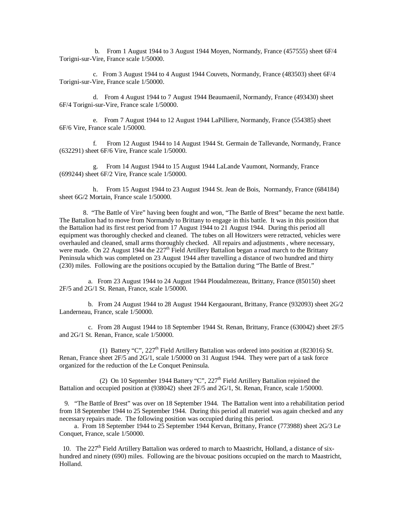b. From 1 August 1944 to 3 August 1944 Moyen, Normandy, France (457555) sheet 6F/4 Torigni-sur-Vire, France scale 1/50000.

 c. From 3 August 1944 to 4 August 1944 Couvets, Normandy, France (483503) sheet 6F/4 Torigni-sur-Vire, France scale 1/50000.

 d. From 4 August 1944 to 7 August 1944 Beaumaenil, Normandy, France (493430) sheet 6F/4 Torigni-sur-Vire, France scale 1/50000.

 e. From 7 August 1944 to 12 August 1944 LaPilliere, Normandy, France (554385) sheet 6F/6 Vire, France scale 1/50000.

 f. From 12 August 1944 to 14 August 1944 St. Germain de Tallevande, Normandy, France (632291) sheet 6F/6 Vire, France scale 1/50000.

 g. From 14 August 1944 to 15 August 1944 LaLande Vaumont, Normandy, France (699244) sheet 6F/2 Vire, France scale 1/50000.

 h. From 15 August 1944 to 23 August 1944 St. Jean de Bois, Normandy, France (684184) sheet 6G/2 Mortain, France scale 1/50000.

8. "The Battle of Vire" having been fought and won, "The Battle of Brest" became the next battle. The Battalion had to move from Normandy to Brittany to engage in this battle. It was in this position that the Battalion had its first rest period from 17 August 1944 to 21 August 1944. During this period all equipment was thoroughly checked and cleaned. The tubes on all Howitzers were retracted, vehicles were overhauled and cleaned, small arms thoroughly checked. All repairs and adjustments , where necessary, were made. On 22 August 1944 the  $227<sup>th</sup>$  Field Artillery Battalion began a road march to the Brittany Peninsula which was completed on 23 August 1944 after travelling a distance of two hundred and thirty (230) miles. Following are the positions occupied by the Battalion during "The Battle of Brest."

 a. From 23 August 1944 to 24 August 1944 Ploudalmezeau, Brittany, France (850150) sheet 2F/5 and 2G/1 St. Renan, France, scale 1/50000.

 b. From 24 August 1944 to 28 August 1944 Kergaourant, Brittany, France (932093) sheet 2G/2 Landerneau, France, scale 1/50000.

 c. From 28 August 1944 to 18 September 1944 St. Renan, Brittany, France (630042) sheet 2F/5 and 2G/1 St. Renan, France, scale 1/50000.

(1) Battery "C",  $227<sup>th</sup>$  Field Artillery Battalion was ordered into position at (823016) St. Renan, France sheet 2F/5 and 2G/1, scale 1/50000 on 31 August 1944. They were part of a task force organized for the reduction of the Le Conquet Peninsula.

(2) On 10 September 1944 Battery "C",  $227<sup>th</sup>$  Field Artillery Battalion rejoined the Battalion and occupied position at (938042) sheet 2F/5 and 2G/1, St. Renan, France, scale 1/50000.

 9. "The Battle of Brest" was over on 18 September 1944. The Battalion went into a rehabilitation period from 18 September 1944 to 25 September 1944. During this period all materiel was again checked and any necessary repairs made. The following position was occupied during this period.

 a. From 18 September 1944 to 25 September 1944 Kervan, Brittany, France (773988) sheet 2G/3 Le Conquet, France, scale 1/50000.

10. The 227<sup>th</sup> Field Artillery Battalion was ordered to march to Maastricht, Holland, a distance of sixhundred and ninety (690) miles. Following are the bivouac positions occupied on the march to Maastricht, Holland.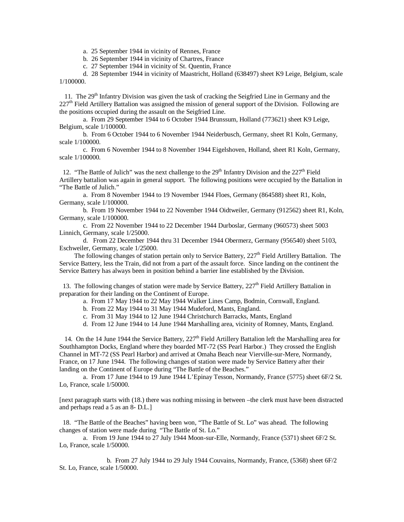a. 25 September 1944 in vicinity of Rennes, France

b. 26 September 1944 in vicinity of Chartres, France

c. 27 September 1944 in vicinity of St. Quentin, France

d. 28 September 1944 in vicinity of Maastricht, Holland (638497) sheet K9 Leige, Belgium, scale 1/100000.

11. The  $29<sup>th</sup>$  Infantry Division was given the task of cracking the Seigfried Line in Germany and the 227<sup>th</sup> Field Artillery Battalion was assigned the mission of general support of the Division. Following are the positions occupied during the assault on the Seigfried Line.

 a. From 29 September 1944 to 6 October 1944 Brunssum, Holland (773621) sheet K9 Leige, Belgium, scale 1/100000.

b. From 6 October 1944 to 6 November 1944 Neiderbusch, Germany, sheet R1 Koln, Germany, scale 1/100000.

c. From 6 November 1944 to 8 November 1944 Eigelshoven, Holland, sheet R1 Koln, Germany, scale 1/100000.

12. "The Battle of Julich" was the next challenge to the  $29<sup>th</sup>$  Infantry Division and the  $227<sup>th</sup>$  Field Artillery battalion was again in general support. The following positions were occupied by the Battalion in "The Battle of Julich."

a. From 8 November 1944 to 19 November 1944 Floes, Germany (864588) sheet R1, Koln, Germany, scale 1/100000.

b. From 19 November 1944 to 22 November 1944 Oidtweiler, Germany (912562) sheet R1, Koln, Germany, scale 1/100000.

c. From 22 November 1944 to 22 December 1944 Durboslar, Germany (960573) sheet 5003 Linnich, Germany, scale 1/25000.

d. From 22 December 1944 thru 31 December 1944 Obermerz, Germany (956540) sheet 5103, Eschweiler, Germany, scale 1/25000.

The following changes of station pertain only to Service Battery,  $227<sup>th</sup>$  Field Artillery Battalion. The Service Battery, less the Train, did not from a part of the assault force. Since landing on the continent the Service Battery has always been in position behind a barrier line established by the Division.

13. The following changes of station were made by Service Battery, 227<sup>th</sup> Field Artillery Battalion in preparation for their landing on the Continent of Europe.

a. From 17 May 1944 to 22 May 1944 Walker Lines Camp, Bodmin, Cornwall, England.

b. From 22 May 1944 to 31 May 1944 Mudeford, Mants, England.

c. From 31 May 1944 to 12 June 1944 Christchurch Barracks, Mants, England

d. From 12 June 1944 to 14 June 1944 Marshalling area, vicinity of Romney, Mants, England.

14. On the 14 June 1944 the Service Battery, 227<sup>th</sup> Field Artillery Battalion left the Marshalling area for Southhampton Docks, England where they boarded MT-72 (SS Pearl Harbor.) They crossed the English Channel in MT-72 (SS Pearl Harbor) and arrived at Omaha Beach near Vierville-sur-Mere, Normandy, France, on 17 June 1944. The following changes of station were made by Service Battery after their landing on the Continent of Europe during "The Battle of the Beaches."

a. From 17 June 1944 to 19 June 1944 L'Epinay Tesson, Normandy, France (5775) sheet 6F/2 St. Lo, France, scale 1/50000.

[next paragraph starts with (18.) there was nothing missing in between –the clerk must have been distracted and perhaps read a 5 as an 8- D.L.]

 18. "The Battle of the Beaches" having been won, "The Battle of St. Lo" was ahead. The following changes of station were made during "The Battle of St. Lo."

a. From 19 June 1944 to 27 July 1944 Moon-sur-Elle, Normandy, France (5371) sheet 6F/2 St. Lo, France, scale 1/50000.

b. From 27 July 1944 to 29 July 1944 Couvains, Normandy, France, (5368) sheet 6F/2 St. Lo, France, scale 1/50000.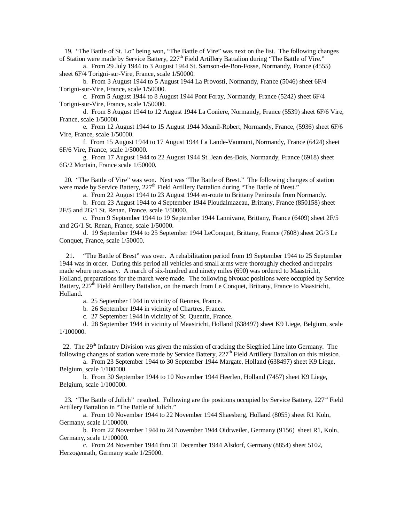19. "The Battle of St. Lo" being won, "The Battle of Vire" was next on the list. The following changes of Station were made by Service Battery, 227<sup>th</sup> Field Artillery Battalion during "The Battle of Vire."

a. From 29 July 1944 to 3 August 1944 St. Samson-de-Bon-Fosse, Normandy, France (4555) sheet 6F/4 Torigni-sur-Vire, France, scale 1/50000.

b. From 3 August 1944 to 5 August 1944 La Provosti, Normandy, France (5046) sheet 6F/4 Torigni-sur-Vire, France, scale 1/50000.

c. From 5 August 1944 to 8 August 1944 Pont Foray, Normandy, France (5242) sheet 6F/4 Torigni-sur-Vire, France, scale 1/50000.

d. From 8 August 1944 to 12 August 1944 La Coniere, Normandy, France (5539) sheet 6F/6 Vire, France, scale 1/50000.

e. From 12 August 1944 to 15 August 1944 Meanil-Robert, Normandy, France, (5936) sheet 6F/6 Vire, France, scale 1/50000.

f. From 15 August 1944 to 17 August 1944 La Lande-Vaumont, Normandy, France (6424) sheet 6F/6 Vire, France, scale 1/50000.

g. From 17 August 1944 to 22 August 1944 St. Jean des-Bois, Normandy, France (6918) sheet 6G/2 Mortain, France scale 1/50000.

 20. "The Battle of Vire" was won. Next was "The Battle of Brest." The following changes of station were made by Service Battery, 227<sup>th</sup> Field Artillery Battalion during "The Battle of Brest."

a. From 22 August 1944 to 23 August 1944 en-route to Brittany Peninsula from Normandy.

b. From 23 August 1944 to 4 September 1944 Ploudalmazeau, Brittany, France (850158) sheet 2F/5 and 2G/1 St. Renan, France, scale 1/50000.

c. From 9 September 1944 to 19 September 1944 Lannivane, Brittany, France (6409) sheet 2F/5 and 2G/1 St. Renan, France, scale 1/50000.

d. 19 September 1944 to 25 September 1944 LeConquet, Brittany, France (7608) sheet 2G/3 Le Conquet, France, scale 1/50000.

 21. "The Battle of Brest" was over. A rehabilitation period from 19 September 1944 to 25 September 1944 was in order. During this period all vehicles and small arms were thoroughly checked and repairs made where necessary. A march of six-hundred and ninety miles (690) was ordered to Maastricht, Holland, preparations for the march were made. The following bivouac positions were occupied by Service Battery,  $227^{\text{th}}$  Field Artillery Battalion, on the march from Le Conquet, Brittany, France to Maastricht, Holland.

a. 25 September 1944 in vicinity of Rennes, France.

b. 26 September 1944 in vicinity of Chartres, France.

c. 27 September 1944 in vicinity of St. Quentin, France.

d. 28 September 1944 in vicinity of Maastricht, Holland (638497) sheet K9 Liege, Belgium, scale 1/100000.

22. The 29<sup>th</sup> Infantry Division was given the mission of cracking the Siegfried Line into Germany. The following changes of station were made by Service Battery, 227<sup>th</sup> Field Artillery Battalion on this mission.

a. From 23 September 1944 to 30 September 1944 Margate, Holland (638497) sheet K9 Liege, Belgium, scale 1/100000.

b. From 30 September 1944 to 10 November 1944 Heerlen, Holland (7457) sheet K9 Liege, Belgium, scale 1/100000.

23. "The Battle of Julich" resulted. Following are the positions occupied by Service Battery,  $227<sup>th</sup>$  Field Artillery Battalion in "The Battle of Julich."

a. From 10 November 1944 to 22 November 1944 Shaesberg, Holland (8055) sheet R1 Koln, Germany, scale 1/100000.

b. From 22 November 1944 to 24 November 1944 Oidtweiler, Germany (9156) sheet R1, Koln, Germany, scale 1/100000.

c. From 24 November 1944 thru 31 December 1944 Alsdorf, Germany (8854) sheet 5102, Herzogenrath, Germany scale 1/25000.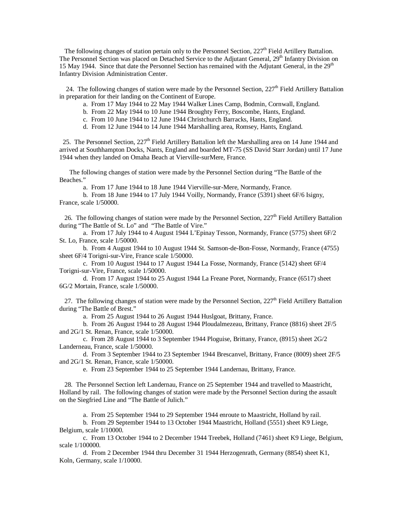The following changes of station pertain only to the Personnel Section,  $227<sup>th</sup>$  Field Artillery Battalion. The Personnel Section was placed on Detached Service to the Adjutant General, 29<sup>th</sup> Infantry Division on 15 May 1944. Since that date the Personnel Section has remained with the Adjutant General, in the 29<sup>th</sup> Infantry Division Administration Center.

24. The following changes of station were made by the Personnel Section,  $227<sup>th</sup>$  Field Artillery Battalion in preparation for their landing on the Continent of Europe.

- a. From 17 May 1944 to 22 May 1944 Walker Lines Camp, Bodmin, Cornwall, England.
- b. From 22 May 1944 to 10 June 1944 Broughty Ferry, Boscombe, Hants, England.
- c. From 10 June 1944 to 12 June 1944 Christchurch Barracks, Hants, England.
- d. From 12 June 1944 to 14 June 1944 Marshalling area, Romsey, Hants, England.

25. The Personnel Section, 227<sup>th</sup> Field Artillery Battalion left the Marshalling area on 14 June 1944 and arrived at Southhampton Docks, Nants, England and boarded MT-75 (SS David Starr Jordan) until 17 June 1944 when they landed on Omaha Beach at Vierville-surMere, France.

 The following changes of station were made by the Personnel Section during "The Battle of the Beaches."

a. From 17 June 1944 to 18 June 1944 Vierville-sur-Mere, Normandy, France.

b. From 18 June 1944 to 17 July 1944 Voilly, Normandy, France (5391) sheet 6F/6 Isigny, France, scale 1/50000.

26. The following changes of station were made by the Personnel Section,  $227<sup>th</sup>$  Field Artillery Battalion during "The Battle of St. Lo" and "The Battle of Vire."

a. From 17 July 1944 to 4 August 1944 L'Epinay Tesson, Normandy, France (5775) sheet 6F/2 St. Lo, France, scale 1/50000.

b. From 4 August 1944 to 10 August 1944 St. Samson-de-Bon-Fosse, Normandy, France (4755) sheet 6F/4 Torigni-sur-Vire, France scale 1/50000.

c. From 10 August 1944 to 17 August 1944 La Fosse, Normandy, France (5142) sheet 6F/4 Torigni-sur-Vire, France, scale 1/50000.

d. From 17 August 1944 to 25 August 1944 La Freane Poret, Normandy, France (6517) sheet 6G/2 Mortain, France, scale 1/50000.

27. The following changes of station were made by the Personnel Section,  $227<sup>th</sup>$  Field Artillery Battalion during "The Battle of Brest."

a. From 25 August 1944 to 26 August 1944 Huslgoat, Brittany, France.

b. From 26 August 1944 to 28 August 1944 Ploudalmezeau, Brittany, France (8816) sheet 2F/5 and 2G/1 St. Renan, France, scale 1/50000.

c. From 28 August 1944 to 3 September 1944 Ploguise, Brittany, France, (8915) sheet 2G/2 Landerneau, France, scale 1/50000.

d. From 3 September 1944 to 23 September 1944 Brescanvel, Brittany, France (8009) sheet 2F/5 and 2G/1 St. Renan, France, scale 1/50000.

e. From 23 September 1944 to 25 September 1944 Landernau, Brittany, France.

 28. The Personnel Section left Landernau, France on 25 September 1944 and travelled to Maastricht, Holland by rail. The following changes of station were made by the Personnel Section during the assault on the Siegfried Line and "The Battle of Julich."

a. From 25 September 1944 to 29 September 1944 enroute to Maastricht, Holland by rail.

b. From 29 September 1944 to 13 October 1944 Maastricht, Holland (5551) sheet K9 Liege, Belgium, scale 1/10000.

c. From 13 October 1944 to 2 December 1944 Treebek, Holland (7461) sheet K9 Liege, Belgium, scale 1/100000.

d. From 2 December 1944 thru December 31 1944 Herzogenrath, Germany (8854) sheet K1, Koln, Germany, scale 1/10000.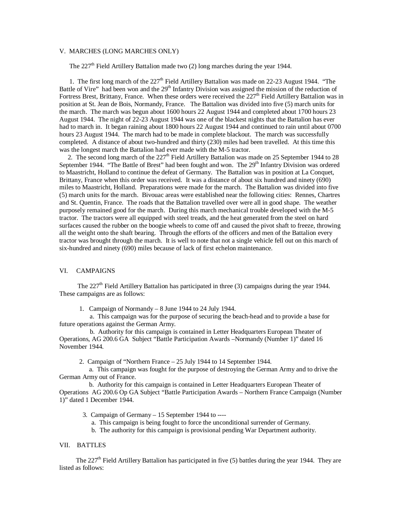### V. MARCHES (LONG MARCHES ONLY)

The  $227<sup>th</sup>$  Field Artillery Battalion made two (2) long marches during the year 1944.

1. The first long march of the  $227<sup>th</sup>$  Field Artillery Battalion was made on 22-23 August 1944. "The Battle of Vire" had been won and the  $29<sup>th</sup>$  Infantry Division was assigned the mission of the reduction of Fortress Brest, Brittany, France. When these orders were received the  $227<sup>th</sup>$  Field Artillery Battalion was in position at St. Jean de Bois, Normandy, France. The Battalion was divided into five (5) march units for the march. The march was begun about 1600 hours 22 August 1944 and completed about 1700 hours 23 August 1944. The night of 22-23 August 1944 was one of the blackest nights that the Battalion has ever had to march in. It began raining about 1800 hours 22 August 1944 and continued to rain until about 0700 hours 23 August 1944. The march had to be made in complete blackout. The march was successfully completed. A distance of about two-hundred and thirty (230) miles had been travelled. At this time this was the longest march the Battalion had ever made with the M-5 tractor.

2. The second long march of the 227<sup>th</sup> Field Artillery Battalion was made on 25 September 1944 to 28 September 1944. "The Battle of Brest" had been fought and won. The  $29<sup>th</sup>$  Infantry Division was ordered to Maastricht, Holland to continue the defeat of Germany. The Battalion was in position at La Conquet, Brittany, France when this order was received. It was a distance of about six hundred and ninety (690) miles to Maastricht, Holland. Preparations were made for the march. The Battalion was divided into five (5) march units for the march. Bivouac areas were established near the following cities: Rennes, Chartres and St. Quentin, France. The roads that the Battalion travelled over were all in good shape. The weather purposely remained good for the march. During this march mechanical trouble developed with the M-5 tractor. The tractors were all equipped with steel treads, and the heat generated from the steel on hard surfaces caused the rubber on the boogie wheels to come off and caused the pivot shaft to freeze, throwing all the weight onto the shaft bearing. Through the efforts of the officers and men of the Battalion every tractor was brought through the march. It is well to note that not a single vehicle fell out on this march of six-hundred and ninety (690) miles because of lack of first echelon maintenance.

### VI. CAMPAIGNS

The  $227<sup>th</sup>$  Field Artillery Battalion has participated in three (3) campaigns during the year 1944. These campaigns are as follows:

1. Campaign of Normandy – 8 June 1944 to 24 July 1944.

 a. This campaign was for the purpose of securing the beach-head and to provide a base for future operations against the German Army.

 b. Authority for this campaign is contained in Letter Headquarters European Theater of Operations, AG 200.6 GA Subject "Battle Participation Awards –Normandy (Number 1)" dated 16 November 1944.

2. Campaign of "Northern France – 25 July 1944 to 14 September 1944.

 a. This campaign was fought for the purpose of destroying the German Army and to drive the German Army out of France.

 b. Authority for this campaign is contained in Letter Headquarters European Theater of Operations AG 200.6 Op GA Subject "Battle Participation Awards – Northern France Campaign (Number 1)" dated 1 December 1944.

3. Campaign of Germany – 15 September 1944 to ----

- a. This campaign is being fought to force the unconditional surrender of Germany.
- b. The authority for this campaign is provisional pending War Department authority.

### VII. BATTLES

The  $227<sup>th</sup>$  Field Artillery Battalion has participated in five (5) battles during the year 1944. They are listed as follows: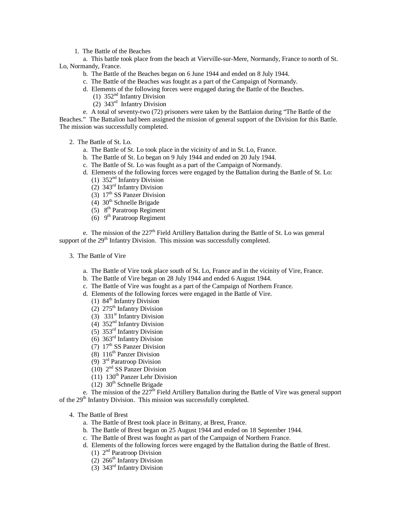1. The Battle of the Beaches

a. This battle took place from the beach at Vierville-sur-Mere, Normandy, France to north of St. Lo, Normandy, France.

- b. The Battle of the Beaches began on 6 June 1944 and ended on 8 July 1944.
- c. The Battle of the Beaches was fought as a part of the Campaign of Normandy.
- d. Elements of the following forces were engaged during the Battle of the Beaches.
	- (1)  $352<sup>nd</sup>$  Infantry Division
- (2) 343rd Infantry Division
- e. A total of seventy-two (72) prisoners were taken by the Battlaion during "The Battle of the

Beaches." The Battalion had been assigned the mission of general support of the Division for this Battle. The mission was successfully completed.

- 2. The Battle of St. Lo.
	- a. The Battle of St. Lo took place in the vicinity of and in St. Lo, France.
	- b. The Battle of St. Lo began on 9 July 1944 and ended on 20 July 1944.
	- c. The Battle of St. Lo was fought as a part of the Campaign of Normandy.
	- d. Elements of the following forces were engaged by the Battalion during the Battle of St. Lo: (1)  $352<sup>nd</sup>$  Infantry Division
		- (2)  $343^{\text{rd}}$  Infantry Division
		- (3)  $17<sup>th</sup>$  SS Panzer Division
		- (4)  $30<sup>th</sup>$  Schnelle Brigade
		- (5)  $8<sup>th</sup>$  Paratroop Regiment
		- (6)  $9<sup>th</sup> Paratroop Regiment$

e. The mission of the  $227<sup>th</sup>$  Field Artillery Battalion during the Battle of St. Lo was general support of the  $29<sup>th</sup>$  Infantry Division. This mission was successfully completed.

- 3. The Battle of Vire
	- a. The Battle of Vire took place south of St. Lo, France and in the vicinity of Vire, France.
	- b. The Battle of Vire began on 28 July 1944 and ended 6 August 1944.
	- c. The Battle of Vire was fought as a part of the Campaign of Northern France.
	- d. Elements of the following forces were engaged in the Battle of Vire.
		- (1)  $84^{\text{th}}$  Infantry Division
		- (2)  $275<sup>th</sup>$  Infantry Division
		- (3)  $331<sup>st</sup>$  Infantry Division
		- $(4)$  352<sup>nd</sup> Infantry Division
		- (5) 353rd Infantry Division
		- $(6)$  363<sup>rd</sup> Infantry Division
		- (7)  $17<sup>th</sup>$  SS Panzer Division
		- (8)  $116<sup>th</sup>$  Panzer Division
		- $(9)$  3<sup>rd</sup> Paratroop Division
		- (10) 2nd SS Panzer Division
		- (11)  $130<sup>th</sup>$  Panzer Lehr Division
		- $(12)$  30<sup>th</sup> Schnelle Brigade

e. The mission of the  $227<sup>th</sup>$  Field Artillery Battalion during the Battle of Vire was general support of the 29<sup>th</sup> Infantry Division. This mission was successfully completed.

- 4. The Battle of Brest
	- a. The Battle of Brest took place in Brittany, at Brest, France.
	- b. The Battle of Brest began on 25 August 1944 and ended on 18 September 1944.
	- c. The Battle of Brest was fought as part of the Campaign of Northern France.
	- d. Elements of the following forces were engaged by the Battalion during the Battle of Brest. (1)  $2<sup>nd</sup>$  Paratroop Division
		- (2)  $266<sup>th</sup>$  Infantry Division
		- (3) 343rd Infantry Division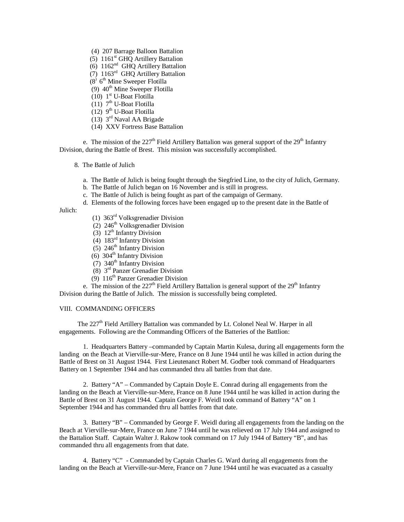- (4) 207 Barrage Balloon Battalion
- (5)  $1161<sup>st</sup>$  GHQ Artillery Battalion

(6) 1162<sup>nd</sup> GHQ Artillery Battalion

- (7) 1163rd GHQ Artillery Battalion
- $(8)$  6<sup>th</sup> Mine Sweeper Flotilla
	- (9)  $40<sup>th</sup>$  Mine Sweeper Flotilla
	- (10)  $1<sup>st</sup>$  U-Boat Flotilla
	- $(11)$  7<sup>th</sup> U-Boat Flotilla
	- $(12)$  9<sup>th</sup> U-Boat Flotilla
	- (13)  $3<sup>rd</sup>$  Naval AA Brigade
	- (14) XXV Fortress Base Battalion

e. The mission of the  $227<sup>th</sup>$  Field Artillery Battalion was general support of the  $29<sup>th</sup>$  Infantry Division, during the Battle of Brest. This mission was successfully accomplished.

### 8. The Battle of Julich

- a. The Battle of Julich is being fought through the Siegfried Line, to the city of Julich, Germany.
- b. The Battle of Julich began on 16 November and is still in progress.
- c. The Battle of Julich is being fought as part of the campaign of Germany.
- d. Elements of the following forces have been engaged up to the present date in the Battle of

Julich:

- (1) 363rd Volksgrenadier Division
- (2)  $246<sup>th</sup> Volksgrenadier Division$
- (3)  $12^{th}$  Infantry Division
- (4) 183rd Infantry Division
- $(5)$  246<sup>th</sup> Infantry Division
- (6)  $304<sup>th</sup>$  Infantry Division
- $(7)$  340<sup>th</sup> Infantry Division
- (8) 3rd Panzer Grenadier Division
- (9)  $116<sup>th</sup>$  Panzer Grenadier Division

e. The mission of the  $227<sup>th</sup>$  Field Artillery Battalion is general support of the  $29<sup>th</sup>$  Infantry Division during the Battle of Julich. The mission is successfully being completed.

### VIII. COMMANDING OFFICERS

The 227<sup>th</sup> Field Artillery Battalion was commanded by Lt. Colonel Neal W. Harper in all engagements. Following are the Commanding Officers of the Batteries of the Battlion:

1. Headquarters Battery –commanded by Captain Martin Kulesa, during all engagements form the landing on the Beach at Vierville-sur-Mere, France on 8 June 1944 until he was killed in action during the Battle of Brest on 31 August 1944. First Lieutenanct Robert M. Godber took command of Headquarters Battery on 1 September 1944 and has commanded thru all battles from that date.

2. Battery "A" – Commanded by Captain Doyle E. Conrad during all engagements from the landing on the Beach at Vierville-sur-Mere, France on 8 June 1944 until he was killed in action during the Battle of Brest on 31 August 1944. Captain George F. Weidl took command of Battery "A" on 1 September 1944 and has commanded thru all battles from that date.

3. Battery "B" – Commanded by George F. Weidl during all engagements from the landing on the Beach at Vierville-sur-Mere, France on June 7 1944 until he was relieved on 17 July 1944 and assigned to the Battalion Staff. Captain Walter J. Rakow took command on 17 July 1944 of Battery "B", and has commanded thru all engagements from that date.

4. Battery "C" - Commanded by Captain Charles G. Ward during all engagements from the landing on the Beach at Vierville-sur-Mere, France on 7 June 1944 until he was evacuated as a casualty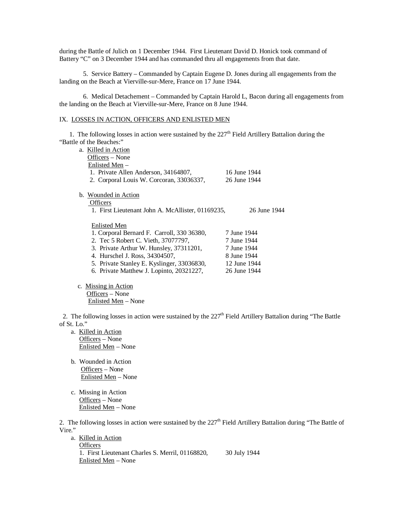during the Battle of Julich on 1 December 1944. First Lieutenant David D. Honick took command of Battery "C" on 3 December 1944 and has commanded thru all engagements from that date.

5. Service Battery – Commanded by Captain Eugene D. Jones during all engagements from the landing on the Beach at Vierville-sur-Mere, France on 17 June 1944.

6. Medical Detachement – Commanded by Captain Harold L, Bacon during all engagements from the landing on the Beach at Vierville-sur-Mere, France on 8 June 1944.

### IX. LOSSES IN ACTION, OFFICERS AND ENLISTED MEN

1. The following losses in action were sustained by the  $227<sup>th</sup>$  Field Artillery Battalion during the "Battle of the Beaches:"

| a. Killed in Action                               |              |
|---------------------------------------------------|--------------|
| Officers – None                                   |              |
| Enlisted Men –                                    |              |
| 1. Private Allen Anderson, 34164807,              | 16 June 1944 |
| 2. Corporal Louis W. Corcoran, 33036337,          | 26 June 1944 |
| b. Wounded in Action                              |              |
| <b>Officers</b>                                   |              |
| 1. First Lieutenant John A. McAllister, 01169235, | 26 June 1944 |
|                                                   |              |
| <b>Enlisted Men</b>                               |              |
|                                                   |              |
| 1. Corporal Bernard F. Carroll, 330 36380,        | 7 June 1944  |
| 2. Tec 5 Robert C. Vieth, 37077797,               | 7 June 1944  |
| 3. Private Arthur W. Hunsley, 37311201,           | 7 June 1944  |
| 4. Hurschel J. Ross, 34304507,                    | 8 June 1944  |
| 5. Private Stanley E. Kyslinger, 33036830,        | 12 June 1944 |
| 6. Private Matthew J. Lopinto, 20321227,          | 26 June 1944 |
|                                                   |              |

 c. Missing in Action Officers – None Enlisted Men – None

2. The following losses in action were sustained by the  $227<sup>th</sup>$  Field Artillery Battalion during "The Battle" of St. Lo."

- a. Killed in Action Officers – None Enlisted Men – None
- b. Wounded in Action Officers – None Enlisted Men – None
- c. Missing in Action Officers – None Enlisted Men – None

2. The following losses in action were sustained by the  $227<sup>th</sup>$  Field Artillery Battalion during "The Battle of Vire."

 a. Killed in Action **Officers**  1. First Lieutenant Charles S. Merril, 01168820, 30 July 1944 Enlisted Men – None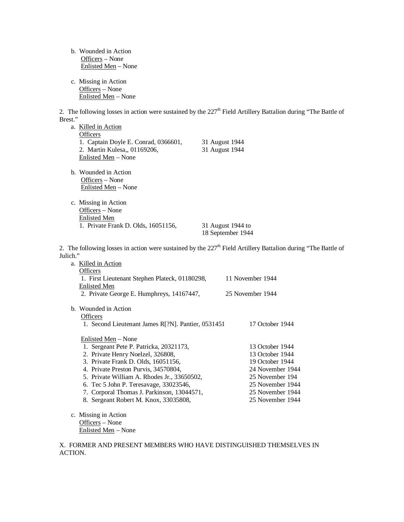b. Wounded in Action Officers – None Enlisted Men – None c. Missing in Action Officers – None Enlisted Men – None 2. The following losses in action were sustained by the  $227<sup>th</sup>$  Field Artillery Battalion during "The Battle of Brest." a. Killed in Action **Officers** 1. Captain Doyle E. Conrad, 0366601, 31 August 1944<br>2. Martin Kulesa,, 01169206, 31 August 1944 2. Martin Kulesa,, 01169206, Enlisted Men – None b. Wounded in Action Officers – None Enlisted Men – None c. Missing in Action Officers – None Enlisted Men 1. Private Frank D. Olds, 16051156, 31 August 1944 to 18 September 1944 2. The following losses in action were sustained by the  $227<sup>th</sup>$  Field Artillery Battalion during "The Battle of Julich." a. Killed in Action **Officers** 1. First Lieutenant Stephen Plateck, 01180298, 11 November 1944 Enlisted Men 2. Private George E. Humphreys, 14167447, 25 November 1944 b. Wounded in Action **Officers** 1. Second Lieutenant James R[?N]. Pantier, 0531451 17 October 1944 Enlisted Men – None 1. Sergeant Pete P. Patricka, 20321173, 13 October 1944<br>
2. Private Henry Noelzel. 326808. 13 October 1944 2. Private Henry Noelzel, 326808,

- 3. Private Frank D. Olds, 16051156, 19 October 1944 4. Private Preston Purvis, 34570804, 24 November 1944<br>
5. Private William A. Rhodes Jr., 33650502, 25 November 194 5. Private William A. Rhodes Jr., 33650502, 25 November 1944<br>
6. Tec 5 John P. Teresavage, 33023546, 25 November 1944 6. Tec 5 John P. Teresavage, 33023546, 7. Corporal Thomas J. Parkinson, 13044571, 25 November 1944 8. Sergeant Robert M. Knox, 33035808, 25 November 1944
- c. Missing in Action Officers – None Enlisted Men – None

X. FORMER AND PRESENT MEMBERS WHO HAVE DISTINGUISHED THEMSELVES IN ACTION.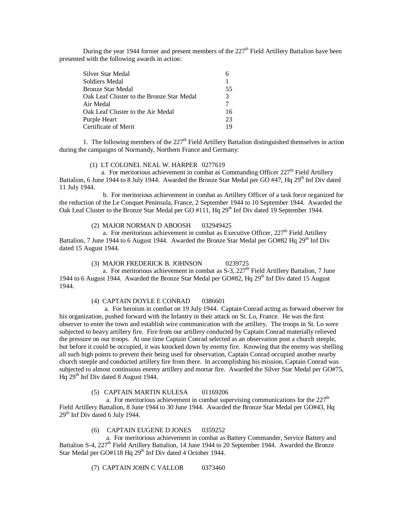During the year 1944 former and present members of the  $227<sup>th</sup>$  Field Artillery Battalion have been presented with the following awards in action:

| Silver Star Medal                         |               |
|-------------------------------------------|---------------|
| Soldiers Medal                            |               |
| Bronze Star Medal                         | 55            |
| Oak Leaf Cluster to the Bronze Star Medal | $\mathcal{R}$ |
| Air Medal                                 |               |
| Oak Leaf Cluster to the Air Medal         | 16            |
| Purple Heart                              | 23            |
| Certificate of Merit                      | 19            |
|                                           |               |

1. The following members of the  $227<sup>th</sup>$  Field Artillery Battalion distinguished themselves in action during the campaigns of Normandy, Northern France and Germany:

### (1) LT COLONEL NEAL W. HARPER 0277619

a. For meritorious achievement in combat as Commanding Officer  $227<sup>th</sup>$  Field Artillery Battalion, 6 June 1944 to 8 July 1944. Awarded the Bronze Star Medal per GO #47, Hq 29<sup>th</sup> Inf Div dated 11 July 1944.

 b. For meritorious achievement in combat as Artillery Officer of a task force organized for the reduction of the Le Conquet Peninsula, France, 2 September 1944 to 10 September 1944. Awarded the Oak Leaf Cluster to the Bronze Star Medal per GO #111, Hq 29<sup>th</sup> Inf Div dated 19 September 1944.

### (2) MAJOR NORMAN D ABOOSH 032949425

a. For meritorious achievement in combat as Executive Officer,  $227<sup>th</sup>$  Field Artillery Battalion, 7 June 1944 to 6 August 1944. Awarded the Bronze Star Medal per GO#82 Hq 29<sup>th</sup> Inf Div dated 15 August 1944.

### (3) MAJOR FREDERICK B. JOHNSON 0239725

a. For meritorious achievement in combat as  $S-3$ ,  $227<sup>th</sup>$  Field Artillery Battalion, 7 June 1944 to 6 August 1944. Awarded the Bronze Star Medal per GO#82, Hq 29th Inf Div dated 15 August 1944.

### (4) CAPTAIN DOYLE E CONRAD 0386601

 a. For heroism in combat on 19 July 1944. Captain Conrad acting as forward observer for his organization, pushed forward with the Infantry in their attack on St. Lo, France. He was the first observer to enter the town and establish wire communication with the artillery. The troops in St. Lo were subjected to heavy artillery fire. Fire from our artillery conducted by Captain Conrad materially relieved the pressure on our troops. At one time Captain Conrad selected as an observation post a church steeple, but before it could be occupied, it was knocked down by enemy fire. Knowing that the enemy was shelling all such high points to prevent their being used for observation, Captain Conrad occupied another nearby church steeple and conducted artillery fire from there. In accomplishing his mission, Captain Conrad was subjected to almost continuous enemy artillery and mortar fire. Awarded the Silver Star Medal per GO#75, Hq 29<sup>th</sup> Inf Div dated 8 August 1944.

# (5) CAPTAIN MARTIN KULESA 01169206

a. For meritorious achievement in combat supervising communications for the  $227<sup>th</sup>$ Field Artillery Battalion, 8 June 1944 to 30 June 1944. Awarded the Bronze Star Medal per GO#43, Hq 29<sup>th</sup> Inf Div dated 6 July 1944.

### (6) CAPTAIN EUGENE D JONES 0359252

 a. For meritorious achievement in combat as Battery Commander, Service Battery and Battalion S-4, 227<sup>th</sup> Field Artillery Battalion, 14 June 1944 to 20 September 1944. Awarded the Bronze Star Medal per GO#118 Hq 29<sup>th</sup> Inf Div dated 4 October 1944.

(7) CAPTAIN JOHN C VALLOR 0373460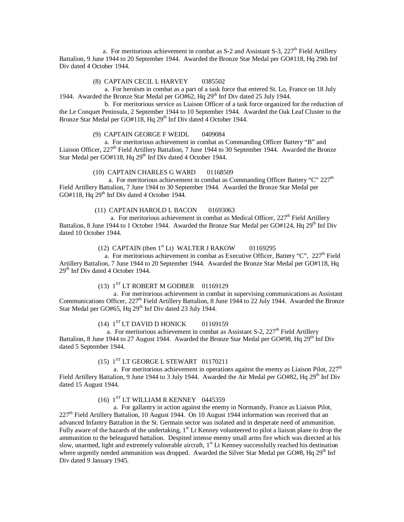a. For meritorious achievement in combat as  $S-2$  and Assistant  $S-3$ ,  $227<sup>th</sup>$  Field Artillery Battalion, 9 June 1944 to 20 September 1944. Awarded the Bronze Star Medal per GO#118, Hq 29th Inf Div dated 4 October 1944.

### (8) CAPTAIN CECIL L HARVEY 0385502

 a. For heroism in combat as a part of a task force that entered St. Lo, France on 18 July 1944. Awarded the Bronze Star Medal per GO#62, Hq 29<sup>th</sup> Inf Div dated 25 July 1944.

 b. For meritorious service as Liaison Officer of a task force organized for the reduction of the Le Conquet Peninsula, 2 September 1944 to 10 September 1944. Awarded the Oak Leaf Cluster to the Bronze Star Medal per GO#118, Hq 29<sup>th</sup> Inf Div dated 4 October 1944.

### (9) CAPTAIN GEORGE F WEIDL 0409084

 a. For meritorious achievement in combat as Commanding Officer Battery "B" and Liaison Officer, 227<sup>th</sup> Field Artillery Battalion, 7 June 1944 to 30 September 1944. Awarded the Bronze Star Medal per GO#118, Hq 29<sup>th</sup> Inf Div dated 4 October 1944.

### (10) CAPTAIN CHARLES G WARD 01168509

a. For meritorious achievement in combat as Commanding Officer Battery "C"  $227<sup>th</sup>$ Field Artillery Battalion, 7 June 1944 to 30 September 1944. Awarded the Bronze Star Medal per GO#118, Hq  $29<sup>th</sup>$  Inf Div dated 4 October 1944.

### (11) CAPTAIN HAROLD L BACON 01693063

a. For meritorious achievement in combat as Medical Officer,  $227<sup>th</sup>$  Field Artillery Battalion, 8 June 1944 to 1 October 1944. Awarded the Bronze Star Medal per GO#124, Hq 29<sup>th</sup> Inf Div dated 10 October 1944.

### (12) CAPTAIN (then  $1<sup>st</sup>$  Lt) WALTER J RAKOW 01169295

a. For meritorious achievement in combat as Executive Officer, Battery "C",  $227<sup>th</sup>$  Field Artillery Battalion, 7 June 1944 to 20 September 1944. Awarded the Bronze Star Medal per GO#118, Hq  $29<sup>th</sup>$  Inf Div dated 4 October 1944.

# (13)  $1<sup>ST</sup> LT ROBERT M GODBER$  01169129

 a. For meritorious achievement in combat in supervising communications as Assistant Communications Officer, 227<sup>th</sup> Field Artillery Battalion, 8 June 1944 to 22 July 1944. Awarded the Bronze Star Medal per GO#65, Hq 29<sup>th</sup> Inf Div dated 23 July 1944.

# (14)  $1^{ST}$  LT DAVID D HONICK 01169159

a. For meritorious achievement in combat as Assistant S-2,  $227<sup>th</sup>$  Field Artillery Battalion, 8 June 1944 to 27 August 1944. Awarded the Bronze Star Medal per GO#98, Hq 29<sup>th</sup> Inf Div dated 5 September 1944.

### $(15)$   $1<sup>ST</sup>$  LT GEORGE L STEWART  $01170211$

a. For meritorious achievement in operations against the enemy as Liaison Pilot,  $227<sup>th</sup>$ Field Artillery Battalion, 9 June 1944 to 3 July 1944. Awarded the Air Medal per GO#82, Hq 29<sup>th</sup> Inf Div dated 15 August 1944.

# (16)  $1<sup>ST</sup> LT WILLIAM R KENNEY 0445359$

 a. For gallantry in action against the enemy in Normandy, France as Liaison Pilot,  $227<sup>th</sup>$  Field Artillery Battalion, 10 August 1944. On 10 August 1944 information was received that an advanced Infantry Battalion in the St. Germain sector was isolated and in desperate need of ammunition. Fully aware of the hazards of the undertaking,  $1<sup>st</sup>$  Lt Kenney volunteered to pilot a liaison plane to drop the ammunition to the beleagured battalion. Despited intense enemy small arms fire which was directed at his slow, unarmed, light and extremely vulnerable aircraft, 1<sup>st</sup> Lt Kenney successfully reached his destination where urgently needed ammunition was dropped. Awarded the Silver Star Medal per GO#8, Hq 29<sup>th</sup> Inf Div dated 9 January 1945.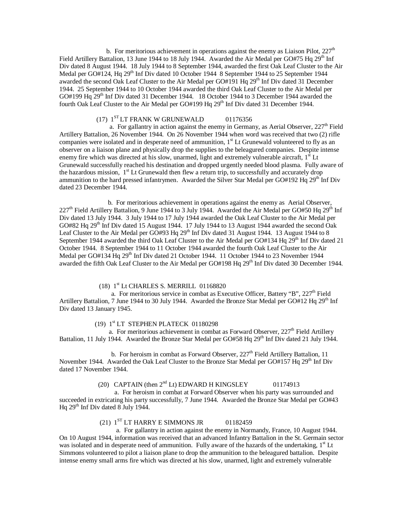b. For meritorious achievement in operations against the enemy as Liaison Pilot,  $227<sup>th</sup>$ Field Artillery Battalion, 13 June 1944 to 18 July 1944. Awarded the Air Medal per GO#75 Hq 29<sup>th</sup> Inf Div dated 8 August 1944. 18 July 1944 to 8 September 1944, awarded the first Oak Leaf Cluster to the Air Medal per GO#124, Hq 29<sup>th</sup> Inf Div dated 10 October 1944 8 September 1944 to 25 September 1944 awarded the second Oak Leaf Cluster to the Air Medal per GO#191 Hq 29<sup>th</sup> Inf Div dated 31 December 1944. 25 September 1944 to 10 October 1944 awarded the third Oak Leaf Cluster to the Air Medal per GO#199 Hq 29<sup>th</sup> Inf Div dated 31 December 1944. 18 October 1944 to 3 December 1944 awarded the fourth Oak Leaf Cluster to the Air Medal per GO#199 Hq 29<sup>th</sup> Inf Div dated 31 December 1944.

# (17)  $1^{ST}$  LT FRANK W GRUNEWALD 01176356

a. For gallantry in action against the enemy in Germany, as Aerial Observer,  $227<sup>th</sup>$  Field Artillery Battalion, 26 November 1944. On 26 November 1944 when word was received that two (2) rifle companies were isolated and in desperate need of ammunition,  $1<sup>st</sup>$  Lt Grunewald volunteered to fly as an observer on a liaison plane and physically drop the supplies to the beleagured companies. Despite intense enemy fire which was directed at his slow, unarmed, light and extremely vulnerable aircraft, 1<sup>st</sup> Lt Grunewald successfully reached his destination and dropped urgently needed blood plasma. Fully aware of the hazardous mission,  $1<sup>st</sup>$  Lt Grunewald then flew a return trip, to successfully and accurately drop ammunition to the hard pressed infantrymen. Awarded the Silver Star Medal per  $GO#192$  Hq  $29<sup>th</sup>$  Inf Div dated 23 December 1944.

 b. For meritorious achievement in operations against the enemy as Aerial Observer,  $227<sup>th</sup>$  Field Artillery Battalion, 9 June 1944 to 3 July 1944. Awarded the Air Medal per GO#50 Hq 29<sup>th</sup> Inf Div dated 13 July 1944. 3 July 1944 to 17 July 1944 awarded the Oak Leaf Cluster to the Air Medal per GO#82 Hq 29<sup>th</sup> Inf Div dated 15 August 1944. 17 July 1944 to 13 August 1944 awarded the second Oak Leaf Cluster to the Air Medal per  $GO#93$  Hq 29<sup>th</sup> Inf Div dated 31 August 1944. 13 August 1944 to 8 September 1944 awarded the third Oak Leaf Cluster to the Air Medal per GO#134 Hq  $29<sup>th</sup>$  Inf Div dated 21 October 1944. 8 September 1944 to 11 October 1944 awarded the fourth Oak Leaf Cluster to the Air Medal per GO#134 Hq 29<sup>th</sup> Inf Div dated 21 October 1944. 11 October 1944 to 23 November 1944 awarded the fifth Oak Leaf Cluster to the Air Medal per GO#198 Hq 29<sup>th</sup> Inf Div dated 30 December 1944.

### (18) 1st Lt CHARLES S. MERRILL 01168820

a. For meritorious service in combat as Executive Officer, Battery "B", 227<sup>th</sup> Field Artillery Battalion, 7 June 1944 to 30 July 1944. Awarded the Bronze Star Medal per GO#12 Hq  $29<sup>th</sup>$  Inf Div dated 13 January 1945.

### (19) 1st LT STEPHEN PLATECK 01180298

a. For meritorious achievement in combat as Forward Observer,  $227<sup>th</sup>$  Field Artillery Battalion, 11 July 1944. Awarded the Bronze Star Medal per GO#58 Hq 29<sup>th</sup> Inf Div dated 21 July 1944.

b. For heroism in combat as Forward Observer,  $227<sup>th</sup>$  Field Artillery Battalion, 11 November 1944. Awarded the Oak Leaf Cluster to the Bronze Star Medal per  $GO#157$  Hq  $29<sup>th</sup>$  Inf Div dated 17 November 1944.

# (20) CAPTAIN (then  $2<sup>nd</sup> Lt$ ) EDWARD H KINGSLEY 01174913

 a. For heroism in combat at Forward Observer when his party was surrounded and succeeded in extricating his party successfully, 7 June 1944. Awarded the Bronze Star Medal per GO#43 Hq  $29<sup>th</sup>$  Inf Div dated 8 July 1944.

# (21)  $1<sup>ST</sup> LT HARRY E SIMMONS JR$  01182459

 a. For gallantry in action against the enemy in Normandy, France, 10 August 1944. On 10 August 1944, information was received that an advanced Infantry Battalion in the St. Germain sector was isolated and in desperate need of ammunition. Fully aware of the hazards of the undertaking, 1<sup>st</sup> Lt Simmons volunteered to pilot a liaison plane to drop the ammunition to the beleagured battalion. Despite intense enemy small arms fire which was directed at his slow, unarmed, light and extremely vulnerable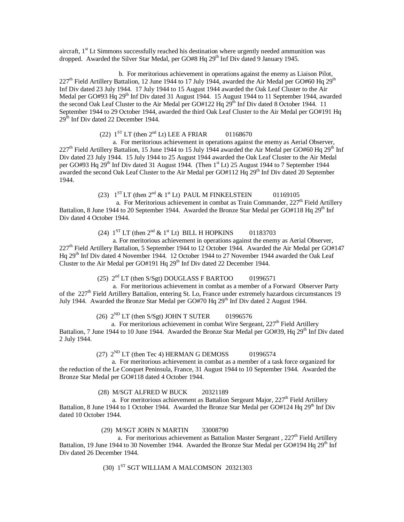aircraft, 1<sup>st</sup> Lt Simmons successfully reached his destination where urgently needed ammunition was dropped. Awarded the Silver Star Medal, per GO#8 Hq 29<sup>th</sup> Inf Div dated 9 January 1945.

 b. For meritorious achievement in operations against the enemy as Liaison Pilot,  $227<sup>th</sup>$  Field Artillery Battalion, 12 June 1944 to 17 July 1944, awarded the Air Medal per GO#60 Hq  $29<sup>th</sup>$ Inf Div dated 23 July 1944. 17 July 1944 to 15 August 1944 awarded the Oak Leaf Cluster to the Air Medal per GO#93 Hq 29<sup>th</sup> Inf Div dated 31 August 1944. 15 August 1944 to 11 September 1944, awarded the second Oak Leaf Cluster to the Air Medal per GO#122 Hq 29<sup>th</sup> Inf Div dated 8 October 1944. 11 September 1944 to 29 October 1944, awarded the third Oak Leaf Cluster to the Air Medal per GO#191 Hq  $29<sup>th</sup>$  Inf Div dated 22 December 1944.

(22)  $1^{ST}$  LT (then  $2^{nd}$  Lt) LEE A FRIAR 01168670

 a. For meritorious achievement in operations against the enemy as Aerial Observer,  $227<sup>th</sup>$  Field Artillery Battalion, 15 June 1944 to 15 July 1944 awarded the Air Medal per GO#60 Hq 29<sup>th</sup> Inf Div dated 23 July 1944. 15 July 1944 to 25 August 1944 awarded the Oak Leaf Cluster to the Air Medal per GO#93 Hq 29<sup>th</sup> Inf Div dated 31 August 1944. (Then  $1<sup>st</sup>$  Lt) 25 August 1944 to 7 September 1944 awarded the second Oak Leaf Cluster to the Air Medal per GO#112 Hq 29<sup>th</sup> Inf Div dated 20 September 1944.

(23)  $1^{ST}LT$  (then  $2^{nd}$  &  $1^{st}Lt$ ) PAUL M FINKELSTEIN 01169105

a. For Meritorious achievement in combat as Train Commander,  $227<sup>th</sup>$  Field Artillery Battalion, 8 June 1944 to 20 September 1944. Awarded the Bronze Star Medal per GO#118 Hq  $29<sup>th</sup>$  Inf Div dated 4 October 1944.

(24)  $1^{ST}$  LT (then  $2^{nd}$  &  $1^{st}$  Lt) BILL H HOPKINS 01183703

 a. For meritorious achievement in operations against the enemy as Aerial Observer, 227th Field Artillery Battalion, 5 September 1944 to 12 October 1944. Awarded the Air Medal per GO#147 Hq 29<sup>th</sup> Inf Div dated 4 November 1944. 12 October 1944 to 27 November 1944 awarded the Oak Leaf Cluster to the Air Medal per GO#191 Hq 29<sup>th</sup> Inf Div dated 22 December 1944.

(25)  $2<sup>nd</sup> LT$  (then S/Sgt) DOUGLASS F BARTOO 01996571

 a. For meritorious achievement in combat as a member of a Forward Observer Party of the 227<sup>th</sup> Field Artillery Battalion, entering St. Lo, France under extremely hazardous circumstances 19 July 1944. Awarded the Bronze Star Medal per GO#70 Hq 29<sup>th</sup> Inf Div dated 2 August 1944.

(26)  $2^{ND}$  LT (then S/Sgt) JOHN T SUTER 01996576

a. For meritorious achievement in combat Wire Sergeant,  $227<sup>th</sup>$  Field Artillery Battalion, 7 June 1944 to 10 June 1944. Awarded the Bronze Star Medal per GO#39, Hq 29<sup>th</sup> Inf Div dated 2 July 1944.

(27)  $2^{ND}$  LT (then Tec 4) HERMAN G DEMOSS 01996574

 a. For meritorious achievement in combat as a member of a task force organized for the reduction of the Le Conquet Peninsula, France, 31 August 1944 to 10 September 1944. Awarded the Bronze Star Medal per GO#118 dated 4 October 1944.

(28) M/SGT ALFRED W BUCK 20321189

a. For meritorious achievement as Battalion Sergeant Major,  $227<sup>th</sup>$  Field Artillery Battalion, 8 June 1944 to 1 October 1944. Awarded the Bronze Star Medal per  $GO#124$  Hq  $29<sup>th</sup>$  Inf Div dated 10 October 1944.

(29) M/SGT JOHN N MARTIN 33008790

a. For meritorious achievement as Battalion Master Sergeant ,  $227<sup>th</sup>$  Field Artillery Battalion, 19 June 1944 to 30 November 1944. Awarded the Bronze Star Medal per GO#194 Hq  $29<sup>th</sup>$  Inf Div dated 26 December 1944.

 $(30)$   $1<sup>ST</sup> SGT$  WILLIAM A MALCOMSON 20321303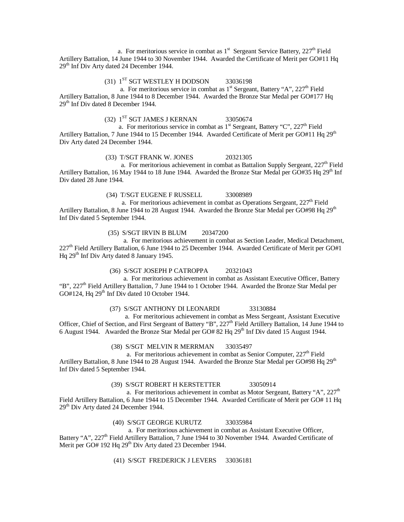a. For meritorious service in combat as  $1<sup>st</sup>$  Sergeant Service Battery, 227<sup>th</sup> Field Artillery Battalion, 14 June 1944 to 30 November 1944. Awarded the Certificate of Merit per GO#11 Hq 29<sup>th</sup> Inf Div Arty dated 24 December 1944.

 $(31)$   $1<sup>ST</sup> SGT WESTLEY H DODSON$  33036198

a. For meritorious service in combat as  $1<sup>st</sup>$  Sergeant, Battery "A", 227<sup>th</sup> Field Artillery Battalion, 8 June 1944 to 8 December 1944. Awarded the Bronze Star Medal per GO#177 Hq 29th Inf Div dated 8 December 1944.

# $(32)$   $1<sup>ST</sup> SGT JAMES J KERNAN$  33050674

a. For meritorious service in combat as  $1<sup>st</sup>$  Sergeant, Battery "C", 227<sup>th</sup> Field Artillery Battalion, 7 June 1944 to 15 December 1944. Awarded Certificate of Merit per GO#11 Hq 29<sup>th</sup> Div Arty dated 24 December 1944.

### (33) T/SGT FRANK W. JONES 20321305

a. For meritorious achievement in combat as Battalion Supply Sergeant,  $227<sup>th</sup>$  Field Artillery Battalion, 16 May 1944 to 18 June 1944. Awarded the Bronze Star Medal per GO#35 Hq 29<sup>th</sup> Inf Div dated 28 June 1944.

### (34) T/SGT EUGENE F RUSSELL 33008989

a. For meritorious achievement in combat as Operations Sergeant,  $227<sup>th</sup>$  Field Artillery Battalion, 8 June 1944 to 28 August 1944. Awarded the Bronze Star Medal per GO#98 Hq 29<sup>th</sup> Inf Div dated 5 September 1944.

(35) S/SGT IRVIN B BLUM 20347200

 a. For meritorious achievement in combat as Section Leader, Medical Detachment,  $227<sup>th</sup>$  Field Artillery Battalion, 6 June 1944 to 25 December 1944. Awarded Certificate of Merit per GO#1 Hq 29<sup>th</sup> Inf Div Arty dated 8 January 1945.

### (36) S/SGT JOSEPH P CATROPPA 20321043

 a. For meritorious achievement in combat as Assistant Executive Officer, Battery "B", 227<sup>th</sup> Field Artillery Battalion, 7 June 1944 to 1 October 1944. Awarded the Bronze Star Medal per GO#124, Hq  $29<sup>th</sup>$  Inf Div dated 10 October 1944.

(37) S/SGT ANTHONY DI LEONARDI 33130884

 a. For meritorious achievement in combat as Mess Sergeant, Assistant Executive Officer, Chief of Section, and First Sergeant of Battery "B", 227th Field Artillery Battalion, 14 June 1944 to 6 August 1944. Awarded the Bronze Star Medal per GO# 82 Hq 29<sup>th</sup> Inf Div dated 15 August 1944.

(38) S/SGT MELVIN R MERRMAN 33035497

a. For meritorious achievement in combat as Senior Computer,  $227<sup>th</sup>$  Field Artillery Battalion, 8 June 1944 to 28 August 1944. Awarded the Bronze Star Medal per GO#98 Hq 29<sup>th</sup> Inf Div dated 5 September 1944.

### (39) S/SGT ROBERT H KERSTETTER 33050914

a. For meritorious achievement in combat as Motor Sergeant, Battery "A",  $227<sup>th</sup>$ Field Artillery Battalion, 6 June 1944 to 15 December 1944. Awarded Certificate of Merit per GO# 11 Hq 29<sup>th</sup> Div Arty dated 24 December 1944.

(40) S/SGT GEORGE KURUTZ 33035984

 a. For meritorious achievement in combat as Assistant Executive Officer, Battery "A", 227<sup>th</sup> Field Artillery Battalion, 7 June 1944 to 30 November 1944. Awarded Certificate of Merit per GO# 192 Hq 29<sup>th</sup> Div Arty dated 23 December 1944.

(41) S/SGT FREDERICK J LEVERS 33036181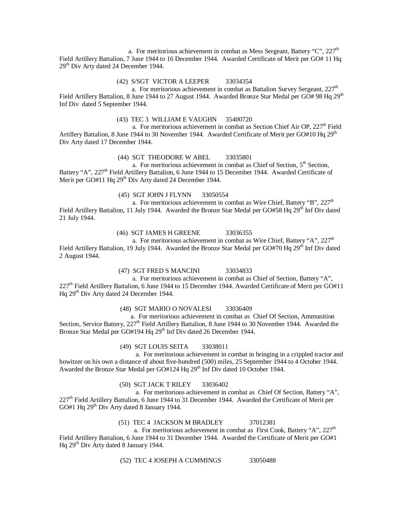a. For meritorious achievement in combat as Mess Sergeant, Battery "C",  $227<sup>th</sup>$ Field Artillery Battalion, 7 June 1944 to 16 December 1944. Awarded Certificate of Merit per GO# 11 Hq 29<sup>th</sup> Div Arty dated 24 December 1944.

### (42) S/SGT VICTOR A LEEPER 33034354

a. For meritorious achievement in combat as Battalion Survey Sergeant,  $227<sup>th</sup>$ Field Artillery Battalion, 8 June 1944 to 27 August 1944. Awarded Bronze Star Medal per GO# 98 Hq 29<sup>th</sup> Inf Div dated 5 September 1944.

### (43) TEC 3 WILLIAM E VAUGHN 35400720

a. For meritorious achievement in combat as Section Chief Air OP,  $227<sup>th</sup>$  Field Artillery Battalion, 8 June 1944 to 30 November 1944. Awarded Certificate of Merit per GO#10 Hq 29<sup>th</sup> Div Arty dated 17 December 1944.

### (44) SGT THEODORE W ABEL 33035801

a. For meritorious achievement in combat as Chief of Section, 5<sup>th</sup> Section, Battery "A", 227<sup>th</sup> Field Artillery Battalion, 6 June 1944 to 15 December 1944. Awarded Certificate of Merit per GO#11 Hq 29<sup>th</sup> Div Arty dated 24 December 1944.

(45) SGT JOHN J FLYNN 33050554

a. For meritorious achievement in combat as Wire Chief, Battery "B",  $227<sup>th</sup>$ Field Artillery Battalion, 11 July 1944. Awarded the Bronze Star Medal per GO#58 Hq 29<sup>th</sup> Inf Div dated 21 July 1944.

(46) SGT JAMES H GREENE 33036355

a. For meritorious achievement in combat as Wire Chief, Battery "A",  $227<sup>th</sup>$ Field Artillery Battalion, 19 July 1944. Awarded the Bronze Star Medal per GO#70 Hq 29<sup>th</sup> Inf Div dated 2 August 1944.

### (47) SGT FRED S MANCINI 33034833

a. For meritorious achievement in combat as Chief of Section, Battery "A", 227<sup>th</sup> Field Artillery Battalion, 6 June 1944 to 15 December 1944. Awarded Certificate of Merit per GO#11 Hq 29th Div Arty dated 24 December 1944.

(48) SGT MARIO O NOVALESI 33036409

a. For meritorious achievement in combat as Chief Of Section, Ammunition Section, Service Battery,  $227<sup>th</sup>$  Field Artillery Battalion, 8 June 1944 to 30 November 1944. Awarded the Bronze Star Medal per GO#194 Hq 29<sup>th</sup> Inf Div dated 26 December 1944.

(49) SGT LOUIS SEITA 33038011

 a. For meritorious achievement in combat in bringing in a crippled tractor and howitzer on his own a distance of about five-hundred (500) miles, 25 September 1944 to 4 October 1944. Awarded the Bronze Star Medal per GO#124 Hq 29<sup>th</sup> Inf Div dated 10 October 1944.

### (50) SGT JACK T RILEY 33036402

 a. For meritorious achievement in combat as Chief Of Section, Battery "A", 227<sup>th</sup> Field Artillery Battalion, 6 June 1944 to 31 December 1944. Awarded the Certificate of Merit per GO#1 Hq  $29<sup>th</sup>$  Div Arty dated 8 January 1944.

### (51) TEC 4 JACKSON M BRADLEY 37012381

a. For meritorious achievement in combat as First Cook, Battery "A",  $227<sup>th</sup>$ Field Artillery Battalion, 6 June 1944 to 31 December 1944. Awarded the Certificate of Merit per GO#1 Hq 29th Div Arty dated 8 January 1944.

(52) TEC 4 JOSEPH A CUMMINGS 33050488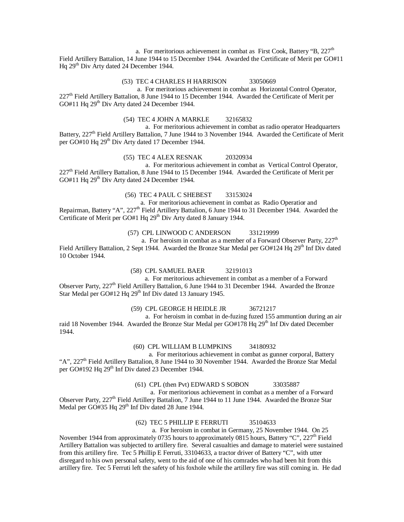a. For meritorious achievement in combat as First Cook, Battery "B,  $227<sup>th</sup>$ Field Artillery Battalion, 14 June 1944 to 15 December 1944. Awarded the Certificate of Merit per GO#11 Hq 29<sup>th</sup> Div Arty dated 24 December 1944.

### (53) TEC 4 CHARLES H HARRISON 33050669

 a. For meritorious achievement in combat as Horizontal Control Operator, 227<sup>th</sup> Field Artillery Battalion, 8 June 1944 to 15 December 1944. Awarded the Certificate of Merit per GO#11 Hq  $29<sup>th</sup>$  Div Arty dated 24 December 1944.

### (54) TEC 4 JOHN A MARKLE 32165832

 a. For meritorious achievement in combat as radio operator Headquarters Battery, 227<sup>th</sup> Field Artillery Battalion, 7 June 1944 to 3 November 1944. Awarded the Certificate of Merit per GO#10 Hq 29<sup>th</sup> Div Arty dated 17 December 1944.

### (55) TEC 4 ALEX RESNAK 20320934

 a. For meritorious achievement in combat as Vertical Control Operator, 227<sup>th</sup> Field Artillery Battalion, 8 June 1944 to 15 December 1944. Awarded the Certificate of Merit per GO#11 Hq  $29<sup>th</sup>$  Div Arty dated 24 December 1944.

(56) TEC 4 PAUL C SHEBEST 33153024

 a. For meritorious achievement in combat as Radio Operatior and Repairman, Battery "A", 227<sup>th</sup> Field Artillery Battalion, 6 June 1944 to 31 December 1944. Awarded the Certificate of Merit per GO#1 Hq 29<sup>th</sup> Div Arty dated 8 January 1944.

### (57) CPL LINWOOD C ANDERSON 331219999

a. For heroism in combat as a member of a Forward Observer Party,  $227<sup>th</sup>$ Field Artillery Battalion, 2 Sept 1944. Awarded the Bronze Star Medal per GO#124 Hq 29<sup>th</sup> Inf Div dated 10 October 1944.

### (58) CPL SAMUEL BAER 32191013

 a. For meritorious achievement in combat as a member of a Forward Observer Party, 227<sup>th</sup> Field Artillery Battalion, 6 June 1944 to 31 December 1944. Awarded the Bronze Star Medal per GO#12 Hq 29<sup>th</sup> Inf Div dated 13 January 1945.

(59) CPL GEORGE H HEIDLE JR 36721217

 a. For heroism in combat in de-fuzing fuzed 155 ammuntion during an air raid 18 November 1944. Awarded the Bronze Star Medal per GO#178 Hq  $29<sup>th</sup>$  Inf Div dated December 1944.

(60) CPL WILLIAM B LUMPKINS 34180932

 a. For meritorious achievement in combat as gunner corporal, Battery "A", 227<sup>th</sup> Field Artillery Battalion, 8 June 1944 to 30 November 1944. Awarded the Bronze Star Medal per GO#192 Hq 29<sup>th</sup> Inf Div dated 23 December 1944.

# (61) CPL (then Pvt) EDWARD S SOBON 33035887

 a. For meritorious achievement in combat as a member of a Forward Observer Party, 227<sup>th</sup> Field Artillery Battalion, 7 June 1944 to 11 June 1944. Awarded the Bronze Star Medal per  $GO#35$  Hq  $29<sup>th</sup>$  Inf Div dated 28 June 1944.

### (62) TEC 5 PHILLIP E FERRUTI 35104633

 a. For heroism in combat in Germany, 25 November 1944. On 25 November 1944 from approximately 0735 hours to approximately 0815 hours, Battery "C", 227<sup>th</sup> Field Artillery Battalion was subjected to artillery fire. Several casualties and damage to materiel were sustained from this artillery fire. Tec 5 Phillip E Ferruti, 33104633, a tractor driver of Battery "C", with utter disregard to his own personal safety, went to the aid of one of his comrades who had been hit from this artillery fire. Tec 5 Ferruti left the safety of his foxhole while the artillery fire was still coming in. He dad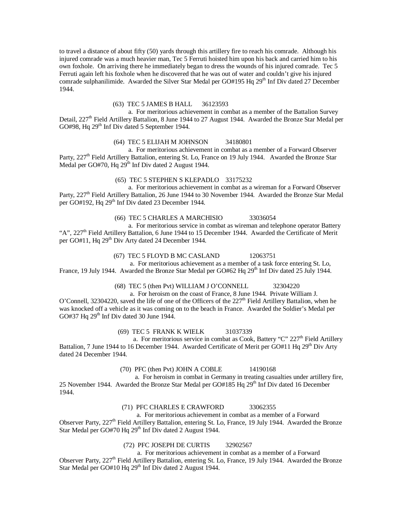to travel a distance of about fifty (50) yards through this artillery fire to reach his comrade. Although his injured comrade was a much heavier man, Tec 5 Ferruti hoisted him upon his back and carried him to his own foxhole. On arriving there he immediately began to dress the wounds of his injured comrade. Tec 5 Ferruti again left his foxhole when he discovered that he was out of water and couldn't give his injured comrade sulphanilimide. Awarded the Silver Star Medal per  $GO#195$  Hq  $29<sup>th</sup>$  Inf Div dated 27 December 1944.

### (63) TEC 5 JAMES B HALL 36123593

 a. For meritorious achievement in combat as a member of the Battalion Survey Detail, 227<sup>th</sup> Field Artillery Battalion, 8 June 1944 to 27 August 1944. Awarded the Bronze Star Medal per GO#98, Hq 29<sup>th</sup> Inf Div dated 5 September 1944.

### (64) TEC 5 ELIJAH M JOHNSON 34180801

 a. For meritorious achievement in combat as a member of a Forward Observer Party, 227<sup>th</sup> Field Artillery Battalion, entering St. Lo, France on 19 July 1944. Awarded the Bronze Star Medal per GO#70, Hq 29<sup>th</sup> Inf Div dated 2 August 1944.

### (65) TEC 5 STEPHEN S KLEPADLO 33175232

 a. For meritorious achievement in combat as a wireman for a Forward Observer Party, 227<sup>th</sup> Field Artillery Battalion, 26 June 1944 to 30 November 1944. Awarded the Bronze Star Medal per GO#192, Hq 29<sup>th</sup> Inf Div dated 23 December 1944.

(66) TEC 5 CHARLES A MARCHISIO 33036054

 a. For meritorious service in combat as wireman and telephone operator Battery "A",  $227<sup>th</sup>$  Field Artillery Battalion, 6 June 1944 to 15 December 1944. Awarded the Certificate of Merit per GO#11, Hq 29<sup>th</sup> Div Arty dated 24 December 1944.

### (67) TEC 5 FLOYD B MC CASLAND 12063751

 a. For meritorious achievement as a member of a task force entering St. Lo, France, 19 July 1944. Awarded the Bronze Star Medal per GO#62 Hq 29<sup>th</sup> Inf Div dated 25 July 1944.

(68) TEC 5 (then Pvt) WILLIAM J O'CONNELL 32304220

a. For heroism on the coast of France, 8 June 1944. Private William J.

O'Connell, 32304220, saved the life of one of the Officers of the 227<sup>th</sup> Field Artillery Battalion, when he was knocked off a vehicle as it was coming on to the beach in France. Awarded the Soldier's Medal per GO#37 Hq  $29<sup>th</sup>$  Inf Div dated 30 June 1944.

(69) TEC 5 FRANK K WIELK 31037339

a. For meritorious service in combat as Cook, Battery "C" 227<sup>th</sup> Field Artillery Battalion, 7 June 1944 to 16 December 1944. Awarded Certificate of Merit per GO#11 Hq 29<sup>th</sup> Div Arty dated 24 December 1944.

(70) PFC (then Pvt) JOHN A COBLE 14190168

 a. For heroism in combat in Germany in treating casualties under artillery fire, 25 November 1944. Awarded the Bronze Star Medal per GO#185 Hq 29<sup>th</sup> Inf Div dated 16 December 1944.

(71) PFC CHARLES E CRAWFORD 33062355

 a. For meritorious achievement in combat as a member of a Forward Observer Party, 227<sup>th</sup> Field Artillery Battalion, entering St. Lo, France, 19 July 1944. Awarded the Bronze Star Medal per GO#70 Hq 29<sup>th</sup> Inf Div dated 2 August 1944.

(72) PFC JOSEPH DE CURTIS 32902567

 a. For meritorious achievement in combat as a member of a Forward Observer Party, 227<sup>th</sup> Field Artillery Battalion, entering St. Lo, France, 19 July 1944. Awarded the Bronze Star Medal per GO#10 Hq 29<sup>th</sup> Inf Div dated 2 August 1944.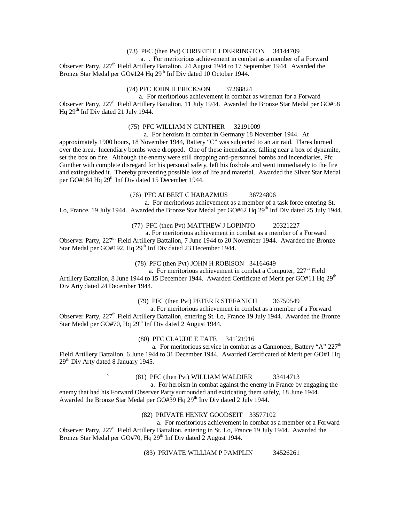### (73) PFC (then Pvt) CORBETTE J DERRINGTON 34144709

 a. . For meritorious achievement in combat as a member of a Forward Observer Party, 227<sup>th</sup> Field Artillery Battalion, 24 August 1944 to 17 September 1944. Awarded the Bronze Star Medal per GO#124 Hq 29<sup>th</sup> Inf Div dated 10 October 1944.

# (74) PFC JOHN H ERICKSON 37268824

 a. For meritorious achievement in combat as wireman for a Forward Observer Party, 227<sup>th</sup> Field Artillery Battalion, 11 July 1944. Awarded the Bronze Star Medal per GO#58 Hq  $29<sup>th</sup>$  Inf Div dated 21 July 1944.

### (75) PFC WILLIAM N GUNTHER 32191009

a. For heroism in combat in Germany 18 November 1944. At

approximately 1900 hours, 18 November 1944, Battery "C" was subjected to an air raid. Flares burned over the area. Incendiary bombs were dropped. One of these incendiaries, falling near a box of dynamite, set the box on fire. Although the enemy were still dropping anti-personnel bombs and incendiaries, Pfc Gunther with complete disregard for his personal safety, left his foxhole and went immediately to the fire and extinguished it. Thereby preventing possible loss of life and material. Awarded the Silver Star Medal per GO#184 Hq 29<sup>th</sup> Inf Div dated 15 December 1944.

### (76) PFC ALBERT C HARAZMUS 36724806

a. For meritorious achievement as a member of a task force entering St.

Lo, France, 19 July 1944. Awarded the Bronze Star Medal per GO#62 Hq 29<sup>th</sup> Inf Div dated 25 July 1944.

# (77) PFC (then Pvt) MATTHEW J LOPINTO 20321227

 a. For meritorious achievement in combat as a member of a Forward Observer Party, 227<sup>th</sup> Field Artillery Battalion, 7 June 1944 to 20 November 1944. Awarded the Bronze

Star Medal per GO#192, Hq 29<sup>th</sup> Inf Div dated 23 December 1944.

# (78) PFC (then Pvt) JOHN H ROBISON 34164649

a. For meritorious achievement in combat a Computer,  $227<sup>th</sup>$  Field Artillery Battalion, 8 June 1944 to 15 December 1944. Awarded Certificate of Merit per GO#11 Hq 29<sup>th</sup> Div Arty dated 24 December 1944.

### (79) PFC (then Pvt) PETER R STEFANICH 36750549

 a. For meritorious achievement in combat as a member of a Forward Observer Party,  $227<sup>th</sup>$  Field Artillery Battalion, entering St. Lo, France 19 July 1944. Awarded the Bronze Star Medal per GO#70, Hq 29<sup>th</sup> Inf Div dated 2 August 1944.

### (80) PFC CLAUDE E TATE 341`21916

a. For meritorious service in combat as a Cannoneer, Battery "A"  $227<sup>th</sup>$ Field Artillery Battalion, 6 June 1944 to 31 December 1944. Awarded Certificated of Merit per GO#1 Hq  $29<sup>th</sup>$  Div Arty dated 8 January 1945.

### ` (81) PFC (then Pvt) WILLIAM WALDIER 33414713

 a. For heroism in combat against the enemy in France by engaging the enemy that had his Forward Observer Party surrounded and extricating them safely, 18 June 1944. Awarded the Bronze Star Medal per GO#39 Hq 29<sup>th</sup> Inv Div dated 2 July 1944.

### (82) PRIVATE HENRY GOODSEIT 33577102

 a. For meritorious achievement in combat as a member of a Forward Observer Party, 227<sup>th</sup> Field Artillery Battalion, entering in St. Lo, France 19 July 1944. Awarded the Bronze Star Medal per GO#70, Hq 29<sup>th</sup> Inf Div dated 2 August 1944.

(83) PRIVATE WILLIAM P PAMPLIN 34526261